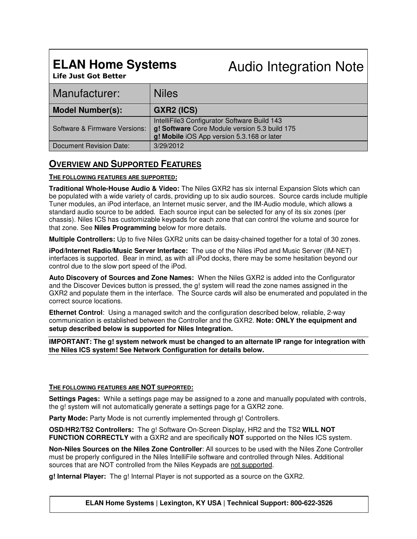# **ELAN Home Systems**

Audio Integration Note

**Life Just Got Better**

| Manufacturer:                 | <b>Niles</b>                                                                                                                                |
|-------------------------------|---------------------------------------------------------------------------------------------------------------------------------------------|
| <b>Model Number(s):</b>       | <b>GXR2 (ICS)</b>                                                                                                                           |
| Software & Firmware Versions: | IntelliFile3 Configurator Software Build 143<br>g! Software Core Module version 5.3 build 175<br>g! Mobile iOS App version 5.3.168 or later |
| Document Revision Date:       | 3/29/2012                                                                                                                                   |

### **OVERVIEW AND SUPPORTED FEATURES**

#### **THE FOLLOWING FEATURES ARE SUPPORTED:**

**Traditional Whole-House Audio & Video:** The Niles GXR2 has six internal Expansion Slots which can be populated with a wide variety of cards, providing up to six audio sources. Source cards include multiple Tuner modules, an iPod interface, an Internet music server, and the IM-Audio module, which allows a standard audio source to be added. Each source input can be selected for any of its six zones (per chassis). Niles ICS has customizable keypads for each zone that can control the volume and source for that zone. See **Niles Programming** below for more details.

**Multiple Controllers:** Up to five Niles GXR2 units can be daisy-chained together for a total of 30 zones.

**iPod/Internet Radio/Music Server Interface:** The use of the Niles iPod and Music Server (IM-NET) interfaces is supported. Bear in mind, as with all iPod docks, there may be some hesitation beyond our control due to the slow port speed of the iPod.

**Auto Discovery of Sources and Zone Names:** When the Niles GXR2 is added into the Configurator and the Discover Devices button is pressed, the g! system will read the zone names assigned in the GXR2 and populate them in the interface. The Source cards will also be enumerated and populated in the correct source locations.

**Ethernet Control**: Using a managed switch and the configuration described below, reliable, 2-way communication is established between the Controller and the GXR2. **Note: ONLY the equipment and setup described below is supported for Niles Integration.** 

**IMPORTANT: The g! system network must be changed to an alternate IP range for integration with the Niles ICS system! See Network Configuration for details below.**

#### **THE FOLLOWING FEATURES ARE NOT SUPPORTED:**

**Settings Pages:** While a settings page may be assigned to a zone and manually populated with controls, the g! system will not automatically generate a settings page for a GXR2 zone.

**Party Mode:** Party Mode is not currently implemented through g! Controllers.

**OSD/HR2/TS2 Controllers:** The g! Software On-Screen Display, HR2 and the TS2 **WILL NOT FUNCTION CORRECTLY** with a GXR2 and are specifically **NOT** supported on the Niles ICS system.

**Non-Niles Sources on the Niles Zone Controller**: All sources to be used with the Niles Zone Controller must be properly configured in the Niles IntelliFile software and controlled through Niles. Additional sources that are NOT controlled from the Niles Keypads are not supported.

**g! Internal Player:** The g! Internal Player is not supported as a source on the GXR2.

**ELAN Home Systems | Lexington, KY USA | Technical Support: 800-622-3526**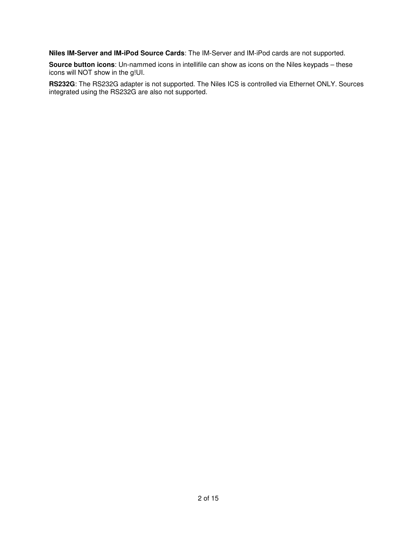**Niles IM-Server and IM-iPod Source Cards**: The IM-Server and IM-iPod cards are not supported.

**Source button icons**: Un-nammed icons in intellifile can show as icons on the Niles keypads – these icons will NOT show in the g!UI.

**RS232G**: The RS232G adapter is not supported. The Niles ICS is controlled via Ethernet ONLY. Sources integrated using the RS232G are also not supported.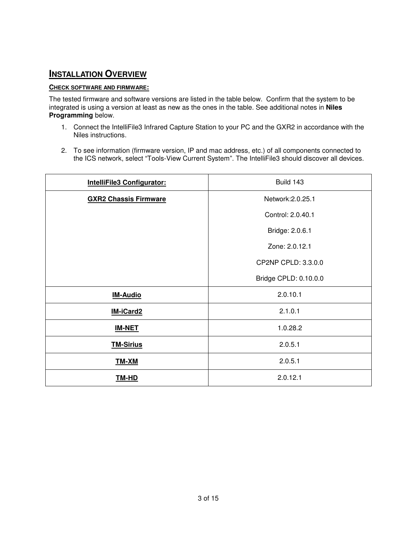### **INSTALLATION OVERVIEW**

### **CHECK SOFTWARE AND FIRMWARE:**

The tested firmware and software versions are listed in the table below. Confirm that the system to be integrated is using a version at least as new as the ones in the table. See additional notes in **Niles Programming** below.

- 1. Connect the IntelliFile3 Infrared Capture Station to your PC and the GXR2 in accordance with the Niles instructions.
- 2. To see information (firmware version, IP and mac address, etc.) of all components connected to the ICS network, select "Tools-View Current System". The IntelliFile3 should discover all devices.

| IntelliFile3 Configurator:   | Build 143             |
|------------------------------|-----------------------|
| <b>GXR2 Chassis Firmware</b> | Network: 2.0.25.1     |
|                              | Control: 2.0.40.1     |
|                              | Bridge: 2.0.6.1       |
|                              | Zone: 2.0.12.1        |
|                              | CP2NP CPLD: 3.3.0.0   |
|                              | Bridge CPLD: 0.10.0.0 |
| <b>IM-Audio</b>              | 2.0.10.1              |
| IM-iCard2                    | 2.1.0.1               |
| <b>IM-NET</b>                | 1.0.28.2              |
| <b>TM-Sirius</b>             | 2.0.5.1               |
| TM-XM                        | 2.0.5.1               |
| <u>TM-HD</u>                 | 2.0.12.1              |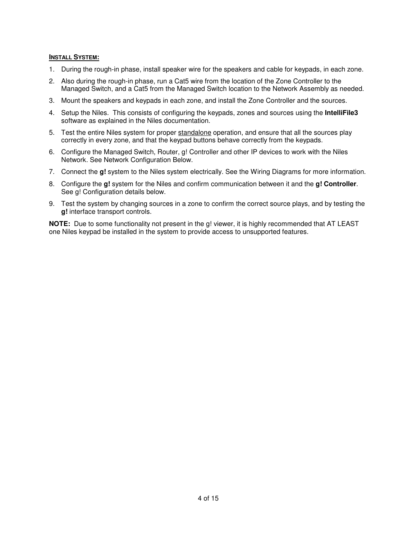#### **INSTALL SYSTEM:**

- 1. During the rough-in phase, install speaker wire for the speakers and cable for keypads, in each zone.
- 2. Also during the rough-in phase, run a Cat5 wire from the location of the Zone Controller to the Managed Switch, and a Cat5 from the Managed Switch location to the Network Assembly as needed.
- 3. Mount the speakers and keypads in each zone, and install the Zone Controller and the sources.
- 4. Setup the Niles. This consists of configuring the keypads, zones and sources using the **IntelliFile3** software as explained in the Niles documentation.
- 5. Test the entire Niles system for proper standalone operation, and ensure that all the sources play correctly in every zone, and that the keypad buttons behave correctly from the keypads.
- 6. Configure the Managed Switch, Router, g! Controller and other IP devices to work with the Niles Network. See Network Configuration Below.
- 7. Connect the **g!** system to the Niles system electrically. See the Wiring Diagrams for more information.
- 8. Configure the **g!** system for the Niles and confirm communication between it and the **g! Controller**. See g! Configuration details below.
- 9. Test the system by changing sources in a zone to confirm the correct source plays, and by testing the **g!** interface transport controls.

**NOTE:** Due to some functionality not present in the g! viewer, it is highly recommended that AT LEAST one Niles keypad be installed in the system to provide access to unsupported features.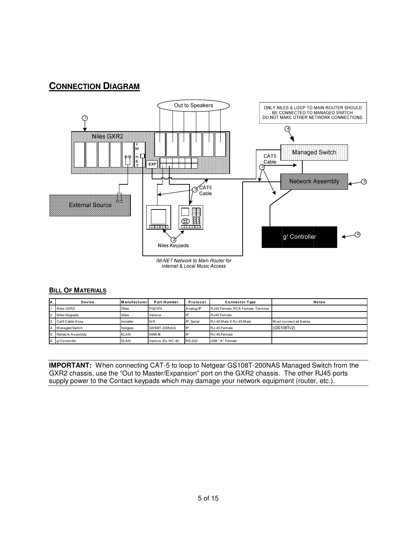### **CONNECTION DIAGRAM**



IM-NET Network to Main Router for **Internet & Local Music Access** 

#### **BILL OF MATERIALS**

| # | Device           | <b>Manufacturer</b> | <b>Part Number</b>  | Protocol               | <b>Connector Type</b>             | <b>Notes</b>             |
|---|------------------|---------------------|---------------------|------------------------|-----------------------------------|--------------------------|
|   | Niles GXR2       | <b>Niles</b>        | FG01174             | Analog/IP              | RJ45 Female, RCA Female, Terminal |                          |
|   | Niles Keypads    | <b>Niles</b>        | Various             |                        | RJ45 Female                       |                          |
|   | Cat5 Cable Assy. | Installer           | N/A                 | IP. Serial             | RJ-45 M ale X RJ-45 M ale         | Must connect all 8 wires |
|   | Managed Switch   | Netgear             | GS108T-200NAS       | <b>I</b> <sub>IP</sub> | RJ-45 Female                      | (GS108Tv2)               |
|   | Network Assembly | <b>ELAN</b>         | <b>NWA18</b>        |                        | RJ-45 Female                      |                          |
| 6 | g! Controller    | <b>ELAN</b>         | Various (Ex. HC-12) | <b>RS-232</b>          | USB "A" Female                    |                          |

**IMPORTANT:** When connecting CAT-5 to loop to Netgear GS108T-200NAS Managed Switch from the GXR2 chassis, use the "Out to Master/Expansion" port on the GXR2 chassis. The other RJ45 ports supply power to the Contact keypads which may damage your network equipment (router, etc.).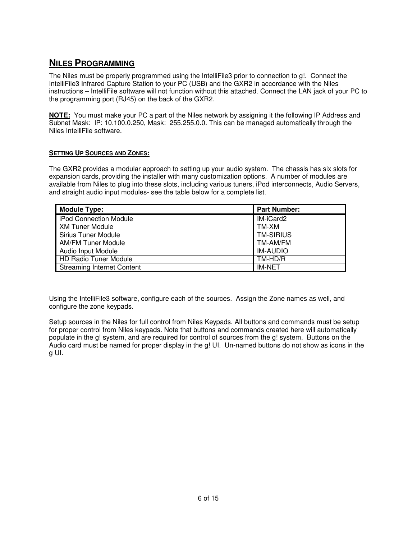### **NILES PROGRAMMING**

The Niles must be properly programmed using the IntelliFile3 prior to connection to g!. Connect the IntelliFile3 Infrared Capture Station to your PC (USB) and the GXR2 in accordance with the Niles instructions – IntelliFile software will not function without this attached. Connect the LAN jack of your PC to the programming port (RJ45) on the back of the GXR2.

**NOTE:** You must make your PC a part of the Niles network by assigning it the following IP Address and Subnet Mask: IP: 10.100.0.250, Mask: 255.255.0.0. This can be managed automatically through the Niles IntelliFile software.

### **SETTING UP SOURCES AND ZONES:**

The GXR2 provides a modular approach to setting up your audio system. The chassis has six slots for expansion cards, providing the installer with many customization options. A number of modules are available from Niles to plug into these slots, including various tuners, iPod interconnects, Audio Servers, and straight audio input modules- see the table below for a complete list.

| <b>Module Type:</b>               | <b>Part Number:</b> |
|-----------------------------------|---------------------|
| iPod Connection Module            | IM-iCard2           |
| <b>XM Tuner Module</b>            | TM-XM               |
| <b>Sirius Tuner Module</b>        | <b>TM-SIRIUS</b>    |
| <b>AM/FM Tuner Module</b>         | TM-AM/FM            |
| Audio Input Module                | <b>IM-AUDIO</b>     |
| <b>HD Radio Tuner Module</b>      | TM-HD/R             |
| <b>Streaming Internet Content</b> | <b>IM-NET</b>       |

Using the IntelliFile3 software, configure each of the sources. Assign the Zone names as well, and configure the zone keypads.

Setup sources in the Niles for full control from Niles Keypads. All buttons and commands must be setup for proper control from Niles keypads. Note that buttons and commands created here will automatically populate in the g! system, and are required for control of sources from the g! system. Buttons on the Audio card must be named for proper display in the g! UI. Un-named buttons do not show as icons in the g UI.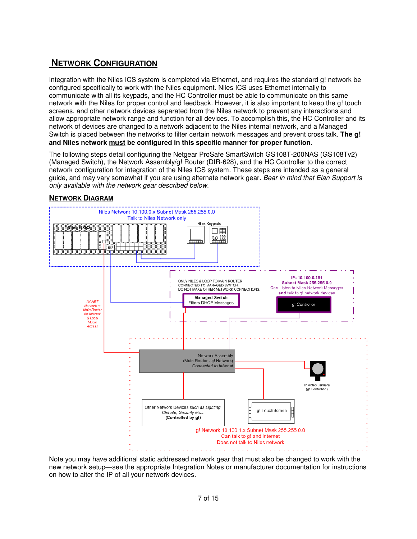### **NETWORK CONFIGURATION**

Integration with the Niles ICS system is completed via Ethernet, and requires the standard g! network be configured specifically to work with the Niles equipment. Niles ICS uses Ethernet internally to communicate with all its keypads, and the HC Controller must be able to communicate on this same network with the Niles for proper control and feedback. However, it is also important to keep the g! touch screens, and other network devices separated from the Niles network to prevent any interactions and allow appropriate network range and function for all devices. To accomplish this, the HC Controller and its network of devices are changed to a network adjacent to the Niles internal network, and a Managed Switch is placed between the networks to filter certain network messages and prevent cross talk. **The g! and Niles network must be configured in this specific manner for proper function.**

The following steps detail configuring the Netgear ProSafe SmartSwitch GS108T-200NAS (GS108Tv2) (Managed Switch), the Network Assembly/g! Router (DIR-628), and the HC Controller to the correct network configuration for integration of the Niles ICS system. These steps are intended as a general guide, and may vary somewhat if you are using alternate network gear. *Bear in mind that Elan Support is only available with the network gear described below.* 

### **NETWORK DIAGRAM**



Note you may have additional static addressed network gear that must also be changed to work with the new network setup—see the appropriate Integration Notes or manufacturer documentation for instructions on how to alter the IP of all your network devices.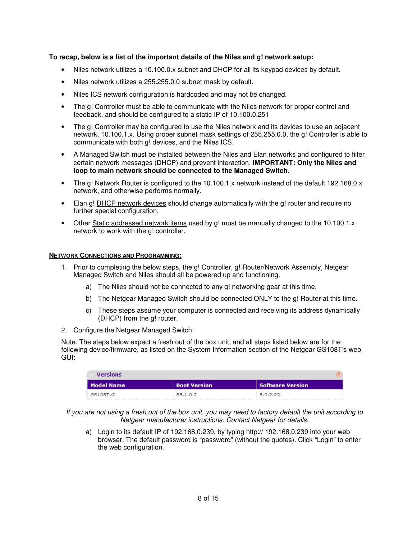#### **To recap, below is a list of the important details of the Niles and g! network setup:**

- Niles network utilizes a 10.100.0.x subnet and DHCP for all its keypad devices by default.
- Niles network utilizes a 255.255.0.0 subnet mask by default.
- Niles ICS network configuration is hardcoded and may not be changed.
- The g! Controller must be able to communicate with the Niles network for proper control and feedback, and should be configured to a static IP of 10.100.0.251
- The g! Controller may be configured to use the Niles network and its devices to use an adjacent network, 10.100.1.x. Using proper subnet mask settings of 255.255.0.0, the g! Controller is able to communicate with both g! devices, and the Niles ICS.
- A Managed Switch must be installed between the Niles and Elan networks and configured to filter certain network messages (DHCP) and prevent interaction. **IMPORTANT: Only the Niles and loop to main network should be connected to the Managed Switch.**
- The g! Network Router is configured to the 10.100.1.x network instead of the default 192.168.0.x network, and otherwise performs normally.
- Elan g! DHCP network devices should change automatically with the g! router and require no further special configuration.
- Other Static addressed network items used by g! must be manually changed to the 10.100.1.x network to work with the g! controller.

#### **NETWORK CONNECTIONS AND PROGRAMMING:**

- 1. Prior to completing the below steps, the g! Controller, g! Router/Network Assembly, Netgear Managed Switch and Niles should all be powered up and functioning.
	- a) The Niles should not be connected to any g! networking gear at this time.
	- b) The Netgear Managed Switch should be connected ONLY to the g! Router at this time.
	- c) These steps assume your computer is connected and receiving its address dynamically (DHCP) from the g! router.
- 2. Configure the Netgear Managed Switch:

Note: The steps below expect a fresh out of the box unit, and all steps listed below are for the following device/firmware, as listed on the System Information section of the Netgear GS108T's web GUI:

| <b>Versions</b> |              |                  |
|-----------------|--------------|------------------|
| Model Name      | Boot Version | Software Version |
| GS108Tv2        | B5.1.0.2     | 5.0.2.22         |

*If you are not using a fresh out of the box unit, you may need to factory default the unit according to Netgear manufacturer instructions. Contact Netgear for details.* 

a) Login to its default IP of 192.168.0.239, by typing http:// 192.168.0.239 into your web browser. The default password is "password" (without the quotes). Click "Login" to enter the web configuration.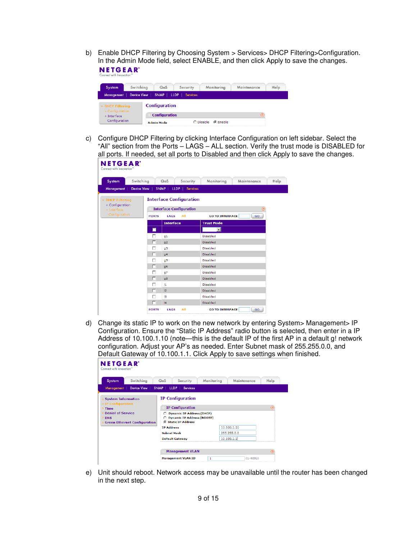b) Enable DHCP Filtering by Choosing System > Services> DHCP Filtering>Configuration. In the Admin Mode field, select ENABLE, and then click Apply to save the changes. **NETGEAR** 

| System                                                    | Switching |  | QoS                  | Security | Monitoring                    | Maintenance | Help |  |
|-----------------------------------------------------------|-----------|--|----------------------|----------|-------------------------------|-------------|------|--|
| Device View   SNMP   LLDP   Services<br><b>Management</b> |           |  |                      |          |                               |             |      |  |
| <b>v</b> DHCP Filtering<br>» Configuration                |           |  | <b>Configuration</b> |          |                               |             |      |  |
| » Interface<br>Configuration                              |           |  | <b>Configuration</b> |          |                               |             | ⋒    |  |
|                                                           |           |  | <b>Admin Mode</b>    |          | $\bigcap$ Disable<br>⊙ Enable |             |      |  |

c) Configure DHCP Filtering by clicking Interface Configuration on left sidebar. Select the "All" section from the Ports – LAGS – ALL section. Verify the trust mode is DISABLED for all ports. If needed, set all ports to Disabled and then click Apply to save the changes.

| System                         | Switching          | Security<br>QoS                | Monitoring<br>Maintenance    | Help     |
|--------------------------------|--------------------|--------------------------------|------------------------------|----------|
| Management !                   | <b>Device View</b> | SNMP   LLDP  <br>Services      |                              |          |
| <b>v</b> DHCP Filtering        |                    | <b>Interface Configuration</b> |                              |          |
| » Configuration<br>» Interface |                    | <b>Interface Configuration</b> |                              | $\Omega$ |
| Configuration                  | <b>PORTS</b>       | All<br>LAGS                    | <b>GO TO INTERFACE</b><br>GO |          |
|                                |                    | <b>Interface</b>               | <b>Trust Mode</b>            |          |
|                                | П                  |                                | $\mathbf{F}$                 |          |
|                                | г                  | q1                             | Disabled                     |          |
|                                | п                  | g2                             | Disabled                     |          |
|                                | п                  | q3                             | Disabled                     |          |
|                                | г                  | q <sub>4</sub>                 | Disabled                     |          |
|                                | г                  | q5                             | Disabled                     |          |
|                                | п                  | g6                             | Disabled                     |          |
|                                | п                  | g7                             | Disabled                     |          |
|                                | г                  | 98                             | <b>Disabled</b>              |          |
|                                | г                  | $\mathbf{11}$                  | Disabled                     |          |
|                                | г                  | 12                             | Disabled                     |          |
|                                | п                  | 13                             | Disabled                     |          |

d) Change its static IP to work on the new network by entering System> Management> IP Configuration. Ensure the "Static IP Address" radio button is selected, then enter in a IP Address of 10.100.1.10 (note—this is the default IP of the first AP in a default g! network configuration. Adjust your AP's as needed. Enter Subnet mask of 255.255.0.0, and Default Gateway of 10.100.1.1. Click Apply to save settings when finished.

| Switching<br>System                             | QoS<br>Security                                                       | Monitoring<br>Maintenance | Help |  |  |
|-------------------------------------------------|-----------------------------------------------------------------------|---------------------------|------|--|--|
| Device View<br>Management !                     | SNMP   LLDP  <br><b>Services</b>                                      |                           |      |  |  |
| <b>System Information</b><br>v IP Configuration | <b>IP Configuration</b>                                               |                           |      |  |  |
| $\frac{1}{2}$ Time                              | ඹ<br><b>IP Configuration</b>                                          |                           |      |  |  |
| <b>Denial of Service</b>                        | <b>Dynamic IP Address (DHCP)</b><br>O.                                |                           |      |  |  |
| <b>DNS</b>                                      | <b>Dynamic IP Address (BOOTP)</b><br>C.<br><b>6 Static IP Address</b> |                           |      |  |  |
| <b>Green Ethernet Configuration</b>             | <b>TP Address</b>                                                     | 10.100.1.10               |      |  |  |
|                                                 | <b>Subnet Mask</b>                                                    | 255.255.0.0               |      |  |  |
|                                                 | <b>Default Gateway</b>                                                | 10.100.1.1                |      |  |  |
|                                                 |                                                                       |                           |      |  |  |

e) Unit should reboot. Network access may be unavailable until the router has been changed in the next step.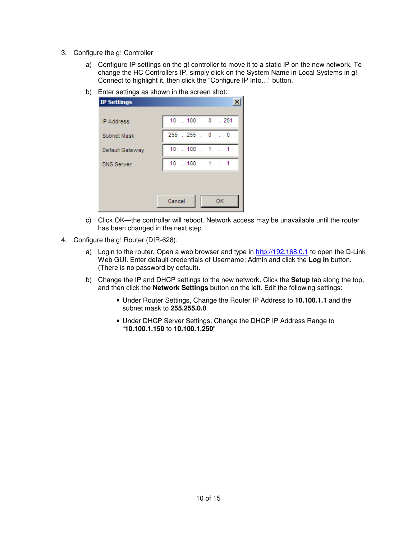- 3. Configure the g! Controller
	- a) Configure IP settings on the g! controller to move it to a static IP on the new network. To change the HC Controllers IP, simply click on the System Name in Local Systems in g! Connect to highlight it, then click the "Configure IP Info…" button.
	- b) Enter settings as shown in the screen shot:

| <b>IP Settings</b> |           |                       |  |          |  |
|--------------------|-----------|-----------------------|--|----------|--|
| <b>IP Address</b>  |           | 10 . 100 . 0 . 251    |  |          |  |
| Subnet Mask        | 255.255.0 |                       |  | $\sim$ 0 |  |
| Default Gateway    |           | $10$ $.100$ $.1$ $.1$ |  |          |  |
| <b>DNS Server</b>  |           | $10$ $.100$ $.1$ $.1$ |  |          |  |
|                    |           |                       |  |          |  |
|                    | Cancel    |                       |  | 0K       |  |

- c) Click OK—the controller will reboot. Network access may be unavailable until the router has been changed in the next step.
- 4. Configure the g! Router (DIR-628):
	- a) Login to the router. Open a web browser and type in  $\frac{http://192.168.0.1}{192.168.0.1}$  to open the D-Link Web GUI. Enter default credentials of Username: Admin and click the **Log In** button. (There is no password by default).
	- b) Change the IP and DHCP settings to the new network. Click the **Setup** tab along the top, and then click the **Network Settings** button on the left. Edit the following settings:
		- Under Router Settings, Change the Router IP Address to **10.100.1.1** and the subnet mask to **255.255.0.0**
		- Under DHCP Server Settings, Change the DHCP IP Address Range to "**10.100.1.150** to **10.100.1.250**"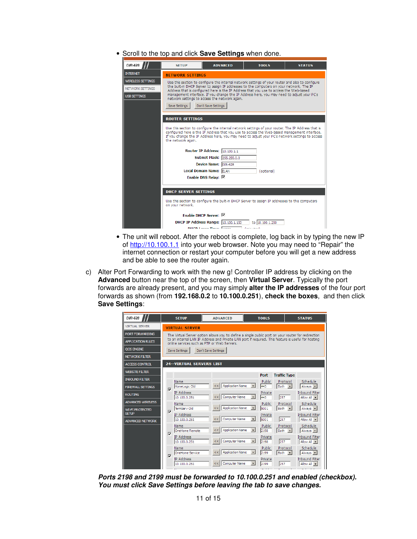• Scroll to the top and click **Save Settings** when done.

| DIR-628                  | <b>SFTUP</b>                                                                                                                                                                                                                                                                                                               | <b>ADVANCED</b>                                                                                                                            | <b>TOOLS</b>                                                                                     | <b>STATUS</b> |  |  |  |  |  |  |
|--------------------------|----------------------------------------------------------------------------------------------------------------------------------------------------------------------------------------------------------------------------------------------------------------------------------------------------------------------------|--------------------------------------------------------------------------------------------------------------------------------------------|--------------------------------------------------------------------------------------------------|---------------|--|--|--|--|--|--|
| <b>INTERNET</b>          | <b>NETWORK SETTINGS</b>                                                                                                                                                                                                                                                                                                    |                                                                                                                                            |                                                                                                  |               |  |  |  |  |  |  |
| <b>WIRELESS SETTINGS</b> |                                                                                                                                                                                                                                                                                                                            |                                                                                                                                            | Use this section to configure the internal network settings of your router and also to configure |               |  |  |  |  |  |  |
| NETWORK SETTINGS         | the built-in DHCP Server to assign IP addresses to the computers on your network. The IP<br>Address that is configured here is the IP Address that you use to access the Web-based                                                                                                                                         |                                                                                                                                            |                                                                                                  |               |  |  |  |  |  |  |
| <b>USB SETTINGS</b>      |                                                                                                                                                                                                                                                                                                                            | management interface. If you change the IP Address here, you may need to adjust your PC's<br>network settings to access the network again. |                                                                                                  |               |  |  |  |  |  |  |
|                          | Don't Save Settings<br>Save Settings                                                                                                                                                                                                                                                                                       |                                                                                                                                            |                                                                                                  |               |  |  |  |  |  |  |
|                          | <b>ROUTER SETTINGS</b>                                                                                                                                                                                                                                                                                                     |                                                                                                                                            |                                                                                                  |               |  |  |  |  |  |  |
|                          | Use this section to configure the internal network settings of your router. The IP Address that is<br>configured here is the IP Address that you use to access the Web-based management interface.<br>If you change the IP Address here, you may need to adjust your PC's network settings to access<br>the network again. |                                                                                                                                            |                                                                                                  |               |  |  |  |  |  |  |
|                          |                                                                                                                                                                                                                                                                                                                            | Router IP Address:  10, 100, 1, 1                                                                                                          |                                                                                                  |               |  |  |  |  |  |  |
|                          |                                                                                                                                                                                                                                                                                                                            | Subnet Mask: 255.255.0.0                                                                                                                   |                                                                                                  |               |  |  |  |  |  |  |
|                          |                                                                                                                                                                                                                                                                                                                            | Device Name: DIR-628                                                                                                                       |                                                                                                  |               |  |  |  |  |  |  |
|                          |                                                                                                                                                                                                                                                                                                                            | <b>Local Domain Name: ELAN</b>                                                                                                             | (optional)                                                                                       |               |  |  |  |  |  |  |
|                          |                                                                                                                                                                                                                                                                                                                            | Enable DNS Relay: $\nabla$                                                                                                                 |                                                                                                  |               |  |  |  |  |  |  |
|                          | <b>DHCP SERVER SETTINGS</b>                                                                                                                                                                                                                                                                                                |                                                                                                                                            |                                                                                                  |               |  |  |  |  |  |  |
|                          | on your network.                                                                                                                                                                                                                                                                                                           |                                                                                                                                            | Use this section to configure the built-in DHCP Server to assign IP addresses to the computers   |               |  |  |  |  |  |  |
|                          |                                                                                                                                                                                                                                                                                                                            | Enable DHCP Server: M                                                                                                                      |                                                                                                  |               |  |  |  |  |  |  |
|                          |                                                                                                                                                                                                                                                                                                                            | <b>DHCP IP Address Range:</b> 10, 100, 1, 150                                                                                              | to 10.100.1.250                                                                                  |               |  |  |  |  |  |  |
|                          |                                                                                                                                                                                                                                                                                                                            | <b>DUCD Longo Timor</b> Longo                                                                                                              | <b>Contact Avenue</b>                                                                            |               |  |  |  |  |  |  |

- The unit will reboot. After the reboot is complete, log back in by typing the new IP of http://10.100.1.1 into your web browser. Note you may need to "Repair" the internet connection or restart your computer before you will get a new address and be able to see the router again.
- c) Alter Port Forwarding to work with the new g! Controller IP address by clicking on the **Advanced** button near the top of the screen, then **Virtual Server**. Typically the port forwards are already present, and you may simply **alter the IP addresses** of the four port forwards as shown (from **192.168.0.2** to **10.100.0.251**), **check the boxes**, and then click **Save Settings**:

| DIR-628                                |                | <b>SETUP</b>                                                                                       | <b>ADVANCED</b>                                                                                                                                   |                          | <b>TOOLS</b>                  | <b>STATUS</b>                                                            |  |  |
|----------------------------------------|----------------|----------------------------------------------------------------------------------------------------|---------------------------------------------------------------------------------------------------------------------------------------------------|--------------------------|-------------------------------|--------------------------------------------------------------------------|--|--|
| <b>VIRTUAL SERVER</b>                  |                | <b>VIRTUAL SERVER</b>                                                                              |                                                                                                                                                   |                          |                               |                                                                          |  |  |
| PORT FORWARDING                        |                | The Virtual Server option allows you to define a single public port on your router for redirection |                                                                                                                                                   |                          |                               |                                                                          |  |  |
| <b>APPLICATION RULES</b>               |                |                                                                                                    | to an internal LAN IP Address and Private LAN port if required. This feature is useful for hosting<br>online services such as FTP or Web Servers. |                          |                               |                                                                          |  |  |
| <b>OOS ENGINE</b>                      |                | Save Settings                                                                                      | Don't Save Settings                                                                                                                               |                          |                               |                                                                          |  |  |
| <b>NETWORK FILTER</b>                  |                |                                                                                                    |                                                                                                                                                   |                          |                               |                                                                          |  |  |
| <b>ACCESS CONTROL</b>                  |                | <b>24--VIRTUAL SERVERS LIST</b>                                                                    |                                                                                                                                                   |                          |                               |                                                                          |  |  |
| <b>WEBSITE FILTER</b>                  |                |                                                                                                    |                                                                                                                                                   |                          | <b>Port</b>                   | <b>Traffic Type</b>                                                      |  |  |
| <b>INBOUND FILTER</b>                  |                | Name                                                                                               |                                                                                                                                                   |                          | Public                        | Schedule<br>Protocol                                                     |  |  |
| <b>FIREWALL SETTINGS</b>               | $\overline{v}$ | HomeLogic Old                                                                                      | <b>Application Name</b><br><<                                                                                                                     | $\bullet$                | 443<br>Both                   | $\vert \cdot \vert$<br>Always -                                          |  |  |
| <b>ROUTING</b>                         |                | <b>IP Address</b><br>10.100.0.251                                                                  | <b>Computer Name</b><br><<                                                                                                                        | $\vert \cdot \vert$      | Private<br>443<br>257         | <b>Inbound Filter</b><br>Allow All                                       |  |  |
| <b>ADVANCED WIRELESS</b>               |                | Name                                                                                               |                                                                                                                                                   |                          | Public                        | Schedule<br>Protocol                                                     |  |  |
| <b>WI-FI PROTECTED</b><br><b>SETUP</b> | $\overline{v}$ | TermServ Old<br><b>IP Address</b>                                                                  | <b>Application Name</b><br><<                                                                                                                     | $\overline{\phantom{0}}$ | 5001<br>Both<br>Private       | Always -<br>$\bullet$<br><b>Inbound Filter</b>                           |  |  |
| <b>ADVANCED NETWORK</b>                |                | 10.100.0.251                                                                                       | Computer Name<br><<                                                                                                                               | $\vert \cdot \vert$      | 257<br>5001                   | Allow All -                                                              |  |  |
|                                        | $\overline{v}$ | Name<br>OneHome Remote                                                                             | <b>Application Name</b><br><<                                                                                                                     | $\blacksquare$           | Public<br>2198<br><b>Both</b> | Schedule<br>Protocol<br>Always $\  \cdot \ $<br>$\vert \mathbf{v} \vert$ |  |  |
|                                        |                | <b>IP Address</b><br>10.100.0.251                                                                  | Computer Name<br><< ∣                                                                                                                             | $\overline{\phantom{0}}$ | Private<br>257<br>2198        | <b>Inbound Filter</b><br>Allow All                                       |  |  |
|                                        | $\overline{v}$ | Name<br>OneHome Service                                                                            | <b>Application Name</b><br><<                                                                                                                     | $\overline{ }$           | Public<br>2199<br>Both        | Schedule<br>Protocol<br>Always -<br>$\vert \cdot \vert$                  |  |  |
|                                        |                | IP Address<br>10.100.0.251                                                                         | Computer Name<br><<                                                                                                                               | $\star$                  | Private<br>257<br>2199        | <b>Inbound Filter</b><br>Allow All                                       |  |  |
|                                        |                | $\sim$                                                                                             |                                                                                                                                                   |                          |                               | <b>ALL DO</b>                                                            |  |  |

**Ports 2198 and 2199 must be forwarded to 10.100.0.251 and enabled (checkbox). You must click Save Settings before leaving the tab to save changes.**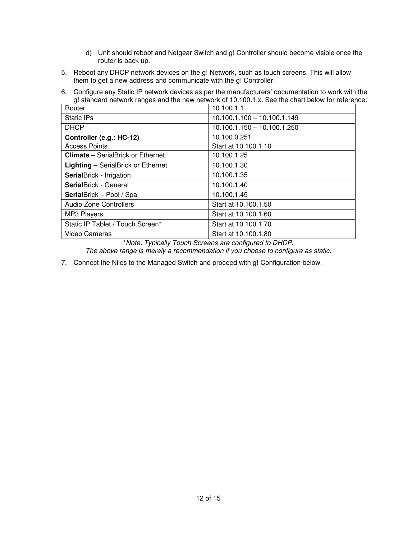- d) Unit should reboot and Netgear Switch and g! Controller should become visible once the router is back up.
- 5. Reboot any DHCP network devices on the g! Network, such as touch screens. This will allow them to get a new address and communicate with the g! Controller.
- 6. Configure any Static IP network devices as per the manufacturers' documentation to work with the g! standard network ranges and the new network of 10.100.1.x. See the chart below for reference:

| Router                                    | 10.100.1.1                    |
|-------------------------------------------|-------------------------------|
| Static IPs                                | $10.100.1.100 - 10.100.1.149$ |
| <b>DHCP</b>                               | $10.100.1.150 - 10.100.1.250$ |
| Controller (e.g.: HC-12)                  | 10.100.0.251                  |
| <b>Access Points</b>                      | Start at 10.100.1.10          |
| <b>Climate</b> – SerialBrick or Ethernet  | 10.100.1.25                   |
| <b>Lighting - SerialBrick or Ethernet</b> | 10.100.1.30                   |
| <b>SerialBrick - Irrigation</b>           | 10.100.1.35                   |
| <b>Serial</b> Brick - General             | 10.100.1.40                   |
| SerialBrick - Pool / Spa                  | 10.100.1.45                   |
| <b>Audio Zone Controllers</b>             | Start at 10.100.1.50          |
| <b>MP3 Players</b>                        | Start at 10.100.1.60          |
| Static IP Tablet / Touch Screen*          | Start at 10.100.1.70          |
| <b>Video Cameras</b>                      | Start at 10.100.1.80          |

\**Note: Typically Touch Screens are configured to DHCP.* 

*The above range is merely a recommendation if you choose to configure as static.* 

7. Connect the Niles to the Managed Switch and proceed with g! Configuration below.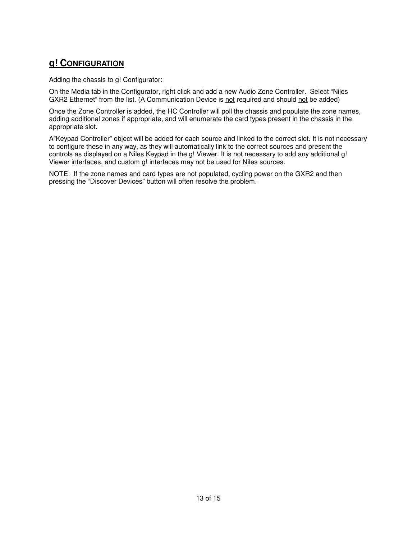### **g! CONFIGURATION**

Adding the chassis to g! Configurator:

On the Media tab in the Configurator, right click and add a new Audio Zone Controller. Select "Niles GXR2 Ethernet" from the list. (A Communication Device is not required and should not be added)

Once the Zone Controller is added, the HC Controller will poll the chassis and populate the zone names, adding additional zones if appropriate, and will enumerate the card types present in the chassis in the appropriate slot.

A"Keypad Controller" object will be added for each source and linked to the correct slot. It is not necessary to configure these in any way, as they will automatically link to the correct sources and present the controls as displayed on a Niles Keypad in the g! Viewer. It is not necessary to add any additional g! Viewer interfaces, and custom g! interfaces may not be used for Niles sources.

NOTE: If the zone names and card types are not populated, cycling power on the GXR2 and then pressing the "Discover Devices" button will often resolve the problem.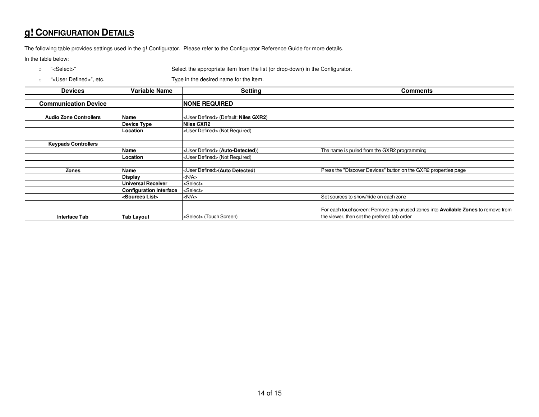## **g! CONFIGURATION DETAILS**

The following table provides settings used in the g! Configurator. Please refer to the Configurator Reference Guide for more details.

In the table below:

o "<Select>" Select the appropriate item from the list (or drop-down) in the Configurator.

o "<User Defined>", etc. Type in the desired name for the item.

| <b>Devices</b>                | Variable Name                  | <b>Setting</b>                                 | <b>Comments</b>                                                                   |
|-------------------------------|--------------------------------|------------------------------------------------|-----------------------------------------------------------------------------------|
|                               |                                |                                                |                                                                                   |
| <b>Communication Device</b>   |                                | <b>INONE REQUIRED</b>                          |                                                                                   |
|                               |                                |                                                |                                                                                   |
| <b>Audio Zone Controllers</b> | Name                           | <user defined=""> (Default: Niles GXR2)</user> |                                                                                   |
|                               | <b>Device Type</b>             | Niles GXR2                                     |                                                                                   |
|                               | Location                       | <user defined=""> (Not Required)</user>        |                                                                                   |
|                               |                                |                                                |                                                                                   |
| <b>Keypads Controllers</b>    |                                |                                                |                                                                                   |
|                               | Name                           | <user defined=""> (Auto-Detected))</user>      | The name is pulled from the GXR2 programming                                      |
|                               | Location                       | <user defined=""> (Not Required)</user>        |                                                                                   |
|                               |                                |                                                |                                                                                   |
| <b>Zones</b>                  | Name                           | <user defined="">(Auto Detected)</user>        | Press the "Discover Devices" button on the GXR2 properties page                   |
|                               | <b>Display</b>                 | $<$ N/A $>$                                    |                                                                                   |
|                               | <b>Universal Receiver</b>      | <select></select>                              |                                                                                   |
|                               | <b>Configuration Interface</b> | <select></select>                              |                                                                                   |
|                               | <sources list=""></sources>    | $<$ N/A $>$                                    | Set sources to show/hide on each zone                                             |
|                               |                                |                                                |                                                                                   |
|                               |                                |                                                | For each touchscreen: Remove any unused zones into Available Zones to remove from |
| <b>Interface Tab</b>          | <b>Tab Layout</b>              | <select> (Touch Screen)</select>               | the viewer, then set the prefered tab order                                       |